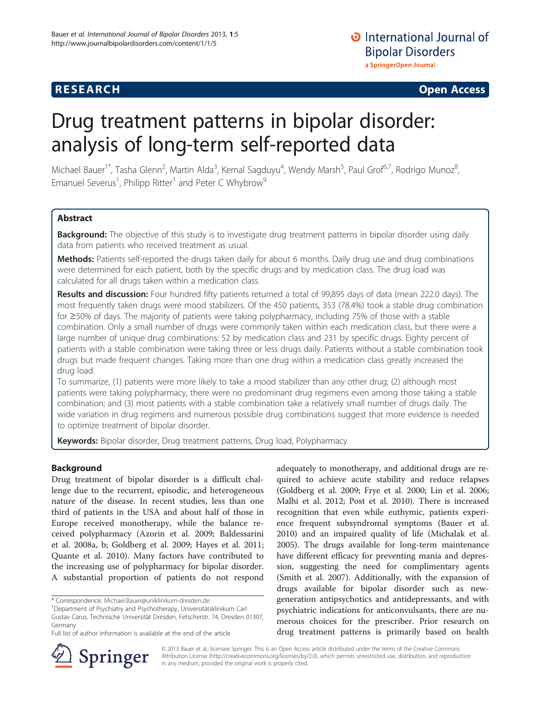# **RESEARCH RESEARCH CONSUMING ACCESS**

# Drug treatment patterns in bipolar disorder: analysis of long-term self-reported data

Michael Bauer<sup>1\*</sup>, Tasha Glenn<sup>2</sup>, Martin Alda<sup>3</sup>, Kemal Sagduyu<sup>4</sup>, Wendy Marsh<sup>5</sup>, Paul Grof<sup>6,7</sup>, Rodrigo Munoz<sup>8</sup> , Emanuel Severus<sup>1</sup>, Philipp Ritter<sup>1</sup> and Peter C Whybrow<sup>9</sup>

# Abstract

Background: The objective of this study is to investigate drug treatment patterns in bipolar disorder using daily data from patients who received treatment as usual.

Methods: Patients self-reported the drugs taken daily for about 6 months. Daily drug use and drug combinations were determined for each patient, both by the specific drugs and by medication class. The drug load was calculated for all drugs taken within a medication class.

Results and discussion: Four hundred fifty patients returned a total of 99,895 days of data (mean 222.0 days). The most frequently taken drugs were mood stabilizers. Of the 450 patients, 353 (78.4%) took a stable drug combination for ≥50% of days. The majority of patients were taking polypharmacy, including 75% of those with a stable combination. Only a small number of drugs were commonly taken within each medication class, but there were a large number of unique drug combinations: 52 by medication class and 231 by specific drugs. Eighty percent of patients with a stable combination were taking three or less drugs daily. Patients without a stable combination took drugs but made frequent changes. Taking more than one drug within a medication class greatly increased the drug load.

To summarize, (1) patients were more likely to take a mood stabilizer than any other drug; (2) although most patients were taking polypharmacy, there were no predominant drug regimens even among those taking a stable combination; and (3) most patients with a stable combination take a relatively small number of drugs daily. The wide variation in drug regimens and numerous possible drug combinations suggest that more evidence is needed to optimize treatment of bipolar disorder.

Keywords: Bipolar disorder, Drug treatment patterns, Drug load, Polypharmacy

### Background

Drug treatment of bipolar disorder is a difficult challenge due to the recurrent, episodic, and heterogeneous nature of the disease. In recent studies, less than one third of patients in the USA and about half of those in Europe received monotherapy, while the balance received polypharmacy (Azorin et al. [2009](#page-6-0); Baldessarini et al. [2008a](#page-6-0), [b;](#page-6-0) Goldberg et al. [2009](#page-6-0); Hayes et al. [2011](#page-6-0); Quante et al. [2010](#page-7-0)). Many factors have contributed to the increasing use of polypharmacy for bipolar disorder. A substantial proportion of patients do not respond

adequately to monotherapy, and additional drugs are required to achieve acute stability and reduce relapses (Goldberg et al. [2009;](#page-6-0) Frye et al. [2000;](#page-6-0) Lin et al. [2006](#page-6-0); Malhi et al. [2012;](#page-7-0) Post et al. [2010](#page-7-0)). There is increased recognition that even while euthymic, patients experience frequent subsyndromal symptoms (Bauer et al. [2010](#page-6-0)) and an impaired quality of life (Michalak et al. [2005](#page-7-0)). The drugs available for long-term maintenance have different efficacy for preventing mania and depression, suggesting the need for complimentary agents (Smith et al. [2007\)](#page-7-0). Additionally, with the expansion of drugs available for bipolar disorder such as newgeneration antipsychotics and antidepressants, and with psychiatric indications for anticonvulsants, there are numerous choices for the prescriber. Prior research on drug treatment patterns is primarily based on health



© 2013 Bauer et al.; licensee Springer. This is an Open Access article distributed under the terms of the Creative Commons Attribution License [\(http://creativecommons.org/licenses/by/2.0\)](http://creativecommons.org/licenses/by/2.0), which permits unrestricted use, distribution, and reproduction in any medium, provided the original work is properly cited.

<sup>\*</sup> Correspondence: [Michael.Bauer@uniklinikum-dresden.de](mailto:Michael.Bauer@uniklinikum-dresden.de) <sup>1</sup>

Department of Psychiatry and Psychotherapy, Universitätsklinikum Carl Gustav Carus, Technische Universität Dresden, Fetscherstr. 74, Dresden 01307, Germany

Full list of author information is available at the end of the article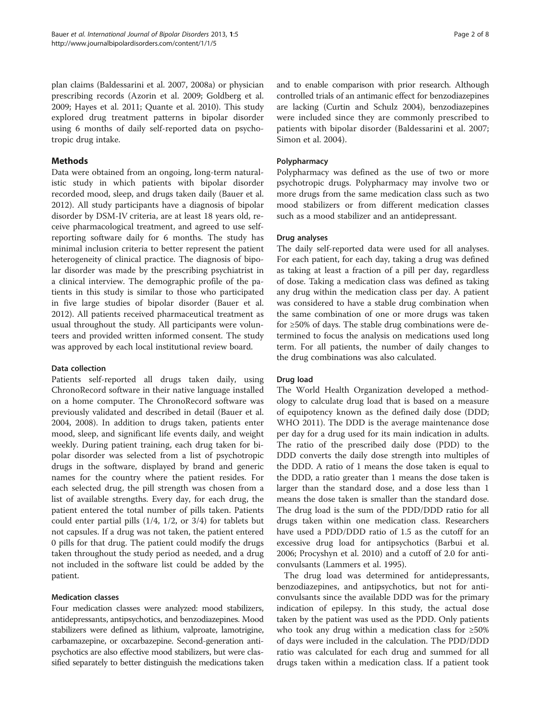plan claims (Baldessarini et al. [2007, 2008a\)](#page-6-0) or physician prescribing records (Azorin et al. [2009](#page-6-0); Goldberg et al. [2009](#page-6-0); Hayes et al. [2011](#page-6-0); Quante et al. [2010\)](#page-7-0). This study explored drug treatment patterns in bipolar disorder using 6 months of daily self-reported data on psychotropic drug intake.

#### Methods

Data were obtained from an ongoing, long-term naturalistic study in which patients with bipolar disorder recorded mood, sleep, and drugs taken daily (Bauer et al. [2012](#page-6-0)). All study participants have a diagnosis of bipolar disorder by DSM-IV criteria, are at least 18 years old, receive pharmacological treatment, and agreed to use selfreporting software daily for 6 months. The study has minimal inclusion criteria to better represent the patient heterogeneity of clinical practice. The diagnosis of bipolar disorder was made by the prescribing psychiatrist in a clinical interview. The demographic profile of the patients in this study is similar to those who participated in five large studies of bipolar disorder (Bauer et al. [2012](#page-6-0)). All patients received pharmaceutical treatment as usual throughout the study. All participants were volunteers and provided written informed consent. The study was approved by each local institutional review board.

#### Data collection

Patients self-reported all drugs taken daily, using ChronoRecord software in their native language installed on a home computer. The ChronoRecord software was previously validated and described in detail (Bauer et al. [2004](#page-6-0), [2008\)](#page-6-0). In addition to drugs taken, patients enter mood, sleep, and significant life events daily, and weight weekly. During patient training, each drug taken for bipolar disorder was selected from a list of psychotropic drugs in the software, displayed by brand and generic names for the country where the patient resides. For each selected drug, the pill strength was chosen from a list of available strengths. Every day, for each drug, the patient entered the total number of pills taken. Patients could enter partial pills (1/4, 1/2, or 3/4) for tablets but not capsules. If a drug was not taken, the patient entered 0 pills for that drug. The patient could modify the drugs taken throughout the study period as needed, and a drug not included in the software list could be added by the patient.

#### Medication classes

Four medication classes were analyzed: mood stabilizers, antidepressants, antipsychotics, and benzodiazepines. Mood stabilizers were defined as lithium, valproate, lamotrigine, carbamazepine, or oxcarbazepine. Second-generation antipsychotics are also effective mood stabilizers, but were classified separately to better distinguish the medications taken

and to enable comparison with prior research. Although controlled trials of an antimanic effect for benzodiazepines are lacking (Curtin and Schulz [2004\)](#page-6-0), benzodiazepines were included since they are commonly prescribed to patients with bipolar disorder (Baldessarini et al. [2007](#page-6-0); Simon et al. [2004](#page-7-0)).

#### Polypharmacy

Polypharmacy was defined as the use of two or more psychotropic drugs. Polypharmacy may involve two or more drugs from the same medication class such as two mood stabilizers or from different medication classes such as a mood stabilizer and an antidepressant.

#### Drug analyses

The daily self-reported data were used for all analyses. For each patient, for each day, taking a drug was defined as taking at least a fraction of a pill per day, regardless of dose. Taking a medication class was defined as taking any drug within the medication class per day. A patient was considered to have a stable drug combination when the same combination of one or more drugs was taken for ≥50% of days. The stable drug combinations were determined to focus the analysis on medications used long term. For all patients, the number of daily changes to the drug combinations was also calculated.

#### Drug load

The World Health Organization developed a methodology to calculate drug load that is based on a measure of equipotency known as the defined daily dose (DDD; WHO [2011\)](#page-7-0). The DDD is the average maintenance dose per day for a drug used for its main indication in adults. The ratio of the prescribed daily dose (PDD) to the DDD converts the daily dose strength into multiples of the DDD. A ratio of 1 means the dose taken is equal to the DDD, a ratio greater than 1 means the dose taken is larger than the standard dose, and a dose less than 1 means the dose taken is smaller than the standard dose. The drug load is the sum of the PDD/DDD ratio for all drugs taken within one medication class. Researchers have used a PDD/DDD ratio of 1.5 as the cutoff for an excessive drug load for antipsychotics (Barbui et al. [2006](#page-6-0); Procyshyn et al. [2010](#page-7-0)) and a cutoff of 2.0 for anticonvulsants (Lammers et al. [1995](#page-6-0)).

The drug load was determined for antidepressants, benzodiazepines, and antipsychotics, but not for anticonvulsants since the available DDD was for the primary indication of epilepsy. In this study, the actual dose taken by the patient was used as the PDD. Only patients who took any drug within a medication class for ≥50% of days were included in the calculation. The PDD/DDD ratio was calculated for each drug and summed for all drugs taken within a medication class. If a patient took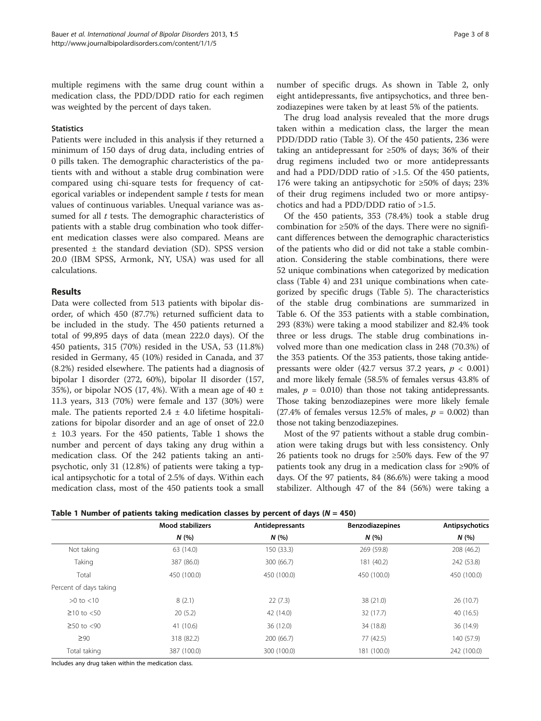multiple regimens with the same drug count within a medication class, the PDD/DDD ratio for each regimen was weighted by the percent of days taken.

#### **Statistics**

Patients were included in this analysis if they returned a minimum of 150 days of drug data, including entries of 0 pills taken. The demographic characteristics of the patients with and without a stable drug combination were compared using chi-square tests for frequency of categorical variables or independent sample  $t$  tests for mean values of continuous variables. Unequal variance was assumed for all  $t$  tests. The demographic characteristics of patients with a stable drug combination who took different medication classes were also compared. Means are presented  $\pm$  the standard deviation (SD). SPSS version 20.0 (IBM SPSS, Armonk, NY, USA) was used for all calculations.

#### Results

Data were collected from 513 patients with bipolar disorder, of which 450 (87.7%) returned sufficient data to be included in the study. The 450 patients returned a total of 99,895 days of data (mean 222.0 days). Of the 450 patients, 315 (70%) resided in the USA, 53 (11.8%) resided in Germany, 45 (10%) resided in Canada, and 37 (8.2%) resided elsewhere. The patients had a diagnosis of bipolar I disorder (272, 60%), bipolar II disorder (157, 35%), or bipolar NOS (17, 4%). With a mean age of 40  $\pm$ 11.3 years, 313 (70%) were female and 137 (30%) were male. The patients reported  $2.4 \pm 4.0$  lifetime hospitalizations for bipolar disorder and an age of onset of 22.0 ± 10.3 years. For the 450 patients, Table 1 shows the number and percent of days taking any drug within a medication class. Of the 242 patients taking an antipsychotic, only 31 (12.8%) of patients were taking a typical antipsychotic for a total of 2.5% of days. Within each medication class, most of the 450 patients took a small number of specific drugs. As shown in Table [2,](#page-3-0) only eight antidepressants, five antipsychotics, and three benzodiazepines were taken by at least 5% of the patients.

The drug load analysis revealed that the more drugs taken within a medication class, the larger the mean PDD/DDD ratio (Table [3](#page-3-0)). Of the 450 patients, 236 were taking an antidepressant for ≥50% of days; 36% of their drug regimens included two or more antidepressants and had a PDD/DDD ratio of >1.5. Of the 450 patients, 176 were taking an antipsychotic for ≥50% of days; 23% of their drug regimens included two or more antipsychotics and had a PDD/DDD ratio of >1.5.

Of the 450 patients, 353 (78.4%) took a stable drug combination for  $\geq 50\%$  of the days. There were no significant differences between the demographic characteristics of the patients who did or did not take a stable combination. Considering the stable combinations, there were 52 unique combinations when categorized by medication class (Table [4\)](#page-3-0) and 231 unique combinations when categorized by specific drugs (Table [5\)](#page-4-0). The characteristics of the stable drug combinations are summarized in Table [6.](#page-5-0) Of the 353 patients with a stable combination, 293 (83%) were taking a mood stabilizer and 82.4% took three or less drugs. The stable drug combinations involved more than one medication class in 248 (70.3%) of the 353 patients. Of the 353 patients, those taking antidepressants were older (42.7 versus 37.2 years,  $p < 0.001$ ) and more likely female (58.5% of females versus 43.8% of males,  $p = 0.010$ ) than those not taking antidepressants. Those taking benzodiazepines were more likely female (27.4% of females versus 12.5% of males,  $p = 0.002$ ) than those not taking benzodiazepines.

Most of the 97 patients without a stable drug combination were taking drugs but with less consistency. Only 26 patients took no drugs for ≥50% days. Few of the 97 patients took any drug in a medication class for ≥90% of days. Of the 97 patients, 84 (86.6%) were taking a mood stabilizer. Although 47 of the 84 (56%) were taking a

Table 1 Number of patients taking medication classes by percent of days ( $N = 450$ )

|                        | <b>Mood stabilizers</b> | Antidepressants | <b>Benzodiazepines</b> | Antipsychotics |
|------------------------|-------------------------|-----------------|------------------------|----------------|
|                        | N(%                     | N(%             | N(%                    | N(%            |
| Not taking             | 63 (14.0)               | 150 (33.3)      | 269 (59.8)             | 208 (46.2)     |
| Taking                 | 387 (86.0)              | 300 (66.7)      | 181 (40.2)             | 242 (53.8)     |
| Total                  | 450 (100.0)             | 450 (100.0)     | 450 (100.0)            | 450 (100.0)    |
| Percent of days taking |                         |                 |                        |                |
| $>0$ to $<10$          | 8(2.1)                  | 22(7.3)         | 38 (21.0)              | 26(10.7)       |
| $≥10$ to <50           | 20(5.2)                 | 42 (14.0)       | 32 (17.7)              | 40 (16.5)      |
| $≥50$ to <90           | 41 (10.6)               | 36(12.0)        | 34 (18.8)              | 36 (14.9)      |
| $\geq 90$              | 318 (82.2)              | 200 (66.7)      | 77 (42.5)              | 140 (57.9)     |
| Total taking           | 387 (100.0)             | 300 (100.0)     | 181 (100.0)            | 242 (100.0)    |

Includes any drug taken within the medication class.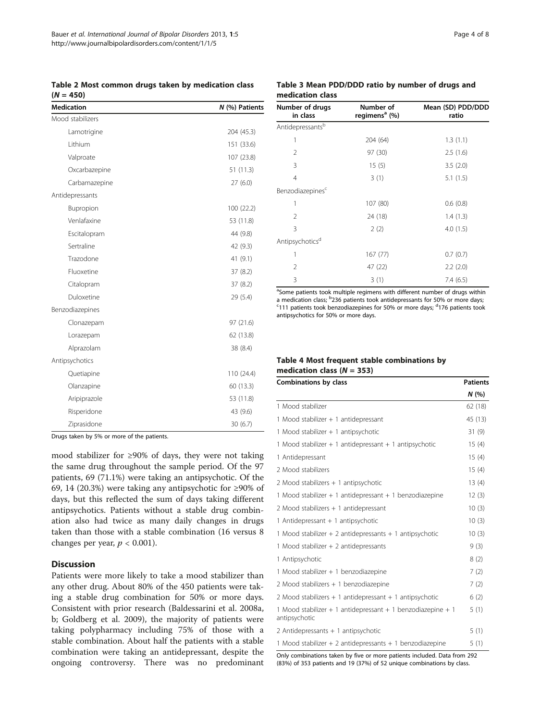Drugs taken by 5% or more of the patients.

mood stabilizer for ≥90% of days, they were not taking the same drug throughout the sample period. Of the 97 patients, 69 (71.1%) were taking an antipsychotic. Of the 69, 14 (20.3%) were taking any antipsychotic for  $\geq$ 90% of days, but this reflected the sum of days taking different antipsychotics. Patients without a stable drug combination also had twice as many daily changes in drugs taken than those with a stable combination (16 versus 8 changes per year,  $p < 0.001$ ).

#### **Discussion**

Patients were more likely to take a mood stabilizer than any other drug. About 80% of the 450 patients were taking a stable drug combination for 50% or more days. Consistent with prior research (Baldessarini et al. [2008a](#page-6-0), [b;](#page-6-0) Goldberg et al. [2009](#page-6-0)), the majority of patients were taking polypharmacy including 75% of those with a stable combination. About half the patients with a stable combination were taking an antidepressant, despite the ongoing controversy. There was no predominant

#### Table 3 Mean PDD/DDD ratio by number of drugs and medication class

| Number of drugs<br>in class  | Number of<br>regimens <sup>a</sup> (%) | Mean (SD) PDD/DDD<br>ratio |
|------------------------------|----------------------------------------|----------------------------|
| Antidepressantsb             |                                        |                            |
| 1                            | 204 (64)                               | 1.3(1.1)                   |
| $\overline{2}$               | 97 (30)                                | 2.5(1.6)                   |
| 3                            | 15(5)                                  | 3.5(2.0)                   |
| $\overline{4}$               | 3(1)                                   | 5.1(1.5)                   |
| Benzodiazepines <sup>c</sup> |                                        |                            |
| 1                            | 107 (80)                               | 0.6(0.8)                   |
| $\mathfrak{D}$               | 24 (18)                                | 1.4(1.3)                   |
| 3                            | 2(2)                                   | 4.0(1.5)                   |
| Antipsychotics <sup>d</sup>  |                                        |                            |
| 1                            | 167(77)                                | 0.7(0.7)                   |
| $\mathfrak{D}$               | 47 (22)                                | 2.2(2.0)                   |
| 3                            | 3(1)                                   | 7.4(6.5)                   |

<sup>a</sup>Some patients took multiple regimens with different number of drugs within a medication class;  $\frac{b}{236}$  patients took antidepressants for 50% or more days; containers took benzodiazenines for 50% or more days; 111 patients took benzodiazepines for 50% or more days; <sup>d</sup>176 patients took antipsychotics for 50% or more days.

#### Table 4 Most frequent stable combinations by medication class  $(N = 353)$

| <b>Combinations by class</b>                                                 |         |
|------------------------------------------------------------------------------|---------|
|                                                                              | N(%     |
| 1 Mood stabilizer                                                            | 62(18)  |
| 1 Mood stabilizer + 1 antidepressant                                         | 45 (13) |
| 1 Mood stabilizer + 1 antipsychotic                                          | 31(9)   |
| 1 Mood stabilizer + 1 antidepressant + 1 antipsychotic                       | 15(4)   |
| 1 Antidepressant                                                             | 15(4)   |
| 2 Mood stabilizers                                                           | 15(4)   |
| 2 Mood stabilizers + 1 antipsychotic                                         | 13(4)   |
| 1 Mood stabilizer + 1 antidepressant + 1 benzodiazepine                      | 12(3)   |
| 2 Mood stabilizers + 1 antidepressant                                        | 10(3)   |
| 1 Antidepressant + 1 antipsychotic                                           | 10(3)   |
| 1 Mood stabilizer $+2$ antidepressants $+1$ antipsychotic                    | 10(3)   |
| 1 Mood stabilizer $+2$ antidepressants                                       | 9(3)    |
| 1 Antipsychotic                                                              | 8(2)    |
| 1 Mood stabilizer + 1 benzodiazepine                                         | 7(2)    |
| 2 Mood stabilizers + 1 benzodiazepine                                        | 7(2)    |
| 2 Mood stabilizers $+1$ antidepressant $+1$ antipsychotic                    | 6(2)    |
| 1 Mood stabilizer + 1 antidepressant + 1 benzodiazepine + 1<br>antipsychotic | 5(1)    |
| 2 Antidepressants $+1$ antipsychotic                                         | 5(1)    |
| 1 Mood stabilizer $+2$ antidepressants $+1$ benzodiazepine                   | 5(1)    |

Only combinations taken by five or more patients included. Data from 292 (83%) of 353 patients and 19 (37%) of 52 unique combinations by class.

<span id="page-3-0"></span>Table 2 Most common drugs taken by medication class

 $M$  (%) Patients

Lamotrigine 204 (45.3) Lithium 151 (33.6) Valproate 107 (23.8) Oxcarbazepine 51 (11.3) Carbamazepine 27 (6.0)

Bupropion 100 (22.2) Venlafaxine 53 (11.8) Escitalopram 44 (9.8) Sertraline 42 (9.3) Trazodone 41 (9.1) Fluoxetine 37 (8.2) Citalopram 37 (8.2) Duloxetine 29 (5.4)

Clonazepam 97 (21.6) Lorazepam 62 (13.8) Alprazolam 38 (8.4)

Quetiapine 110 (24.4) Olanzapine 60 (13.3) Aripiprazole 53 (11.8) Risperidone 43 (9.6) Ziprasidone 30 (6.7)

 $(N = 450)$ 

Mood stabilizers

Antidepressants

Benzodiazepines

Antipsychotics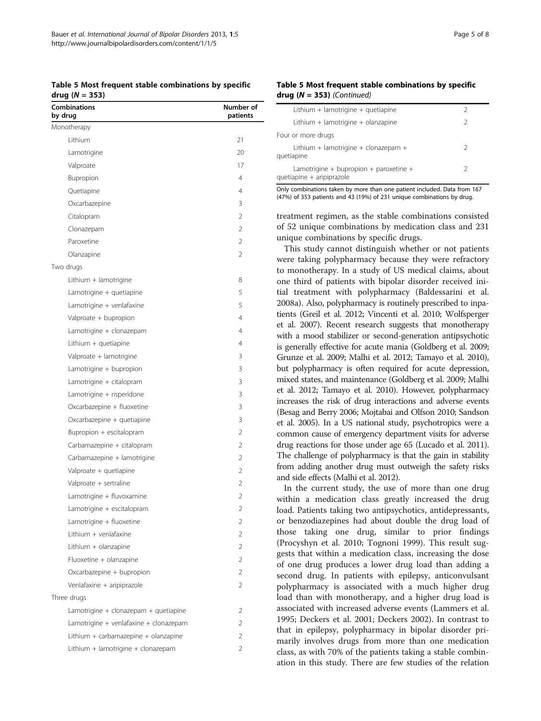| <b>Combinations</b><br>by drug         | Number of<br>patients |  |
|----------------------------------------|-----------------------|--|
| Monotherapy                            |                       |  |
| Lithium                                | 21                    |  |
| Lamotrigine                            | 20                    |  |
| Valproate                              | 17                    |  |
| Bupropion                              | $\overline{4}$        |  |
| Quetiapine                             | 4                     |  |
| Oxcarbazepine                          | 3                     |  |
| Citalopram                             | 2                     |  |
| Clonazepam                             | 2                     |  |
| Paroxetine                             | $\overline{2}$        |  |
| Olanzapine                             | 2                     |  |
| Two drugs                              |                       |  |
| Lithium + lamotrigine                  | 8                     |  |
| Lamotrigine + quetiapine               | 5                     |  |
| Lamotrigine + venlafaxine              | 5                     |  |
| Valproate + bupropion                  | 4                     |  |
| Lamotrigine + clonazepam               | 4                     |  |
| Lithium + quetiapine                   | 4                     |  |
| Valproate + lamotrigine                | 3                     |  |
| Lamotrigine + bupropion                | 3                     |  |
| Lamotrigine + citalopram               | 3                     |  |
| Lamotrigine + risperidone              | 3                     |  |
| Oxcarbazepine + fluoxetine             | 3                     |  |
| Oxcarbazepine + quetiapine             | 3                     |  |
| Bupropion + escitalopram               | 2                     |  |
| Carbamazepine + citalopram             | 2                     |  |
| Carbamazepine + lamotrigine            | 2                     |  |
| Valproate + quetiapine                 | $\overline{2}$        |  |
| Valproate + sertraline                 | 2                     |  |
| Lamotrigine + fluvoxamine              | 2                     |  |
| Lamotrigine + escitalopram             | $\mathfrak{D}$        |  |
| Lamotrigine + fluoxetine               | 2                     |  |
| l ithium + venlafaxine                 | 2                     |  |
| Lithium + olanzapine                   | $\overline{2}$        |  |
| Fluoxetine + olanzapine                | 2                     |  |
| Oxcarbazepine + bupropion              | 2                     |  |
| Venlafaxine + aripiprazole             | $\overline{2}$        |  |
| Three drugs                            |                       |  |
| Lamotrigine + clonazepam + quetiapine  | 2                     |  |
| Lamotrigine + venlafaxine + clonazepam | 2                     |  |
| Lithium + carbamazepine + olanzapine   | 2                     |  |
| Lithium + lamotrigine + clonazepam     | 2                     |  |

<span id="page-4-0"></span>Table 5 Most frequent stable combinations by specific drug  $(N = 353)$ 

| $arg(w = 353)$ (Continuea)                                          |  |  |
|---------------------------------------------------------------------|--|--|
| Lithium $+$ lamotrigine $+$ quetiapine                              |  |  |
| Lithium $+$ lamotrigine $+$ olanzapine                              |  |  |
| Four or more drugs                                                  |  |  |
| Lithium + lamotrigine + clonazepam +<br>quetiapine                  |  |  |
| Lamotrigine + bupropion + paroxetine +<br>quetiapine + aripiprazole |  |  |

Only combinations taken by more than one patient included. Data from 167 (47%) of 353 patients and 43 (19%) of 231 unique combinations by drug.

treatment regimen, as the stable combinations consisted of 52 unique combinations by medication class and 231 unique combinations by specific drugs.

This study cannot distinguish whether or not patients were taking polypharmacy because they were refractory to monotherapy. In a study of US medical claims, about one third of patients with bipolar disorder received initial treatment with polypharmacy (Baldessarini et al. [2008a\)](#page-6-0). Also, polypharmacy is routinely prescribed to inpatients (Greil et al. [2012;](#page-6-0) Vincenti et al. [2010](#page-7-0); Wolfsperger et al. [2007](#page-7-0)). Recent research suggests that monotherapy with a mood stabilizer or second-generation antipsychotic is generally effective for acute mania (Goldberg et al. [2009](#page-6-0); Grunze et al. [2009;](#page-6-0) Malhi et al. [2012](#page-7-0); Tamayo et al. [2010](#page-7-0)), but polypharmacy is often required for acute depression, mixed states, and maintenance (Goldberg et al. [2009;](#page-6-0) Malhi et al. [2012](#page-7-0); Tamayo et al. [2010](#page-7-0)). However, polypharmacy increases the risk of drug interactions and adverse events (Besag and Berry [2006;](#page-6-0) Mojtabai and Olfson [2010;](#page-7-0) Sandson et al. [2005](#page-7-0)). In a US national study, psychotropics were a common cause of emergency department visits for adverse drug reactions for those under age 65 (Lucado et al. [2011](#page-6-0)). The challenge of polypharmacy is that the gain in stability from adding another drug must outweigh the safety risks and side effects (Malhi et al. [2012\)](#page-7-0).

In the current study, the use of more than one drug within a medication class greatly increased the drug load. Patients taking two antipsychotics, antidepressants, or benzodiazepines had about double the drug load of those taking one drug, similar to prior findings (Procyshyn et al. [2010](#page-7-0); Tognoni [1999\)](#page-7-0). This result suggests that within a medication class, increasing the dose of one drug produces a lower drug load than adding a second drug. In patients with epilepsy, anticonvulsant polypharmacy is associated with a much higher drug load than with monotherapy, and a higher drug load is associated with increased adverse events (Lammers et al. [1995](#page-6-0); Deckers et al. [2001](#page-6-0); Deckers [2002](#page-6-0)). In contrast to that in epilepsy, polypharmacy in bipolar disorder primarily involves drugs from more than one medication class, as with 70% of the patients taking a stable combination in this study. There are few studies of the relation

Table 5 Most frequent stable combinations by specific  $\mathbf{I}$  (A)  $\mathbf{S} = \mathbf{S}$  (Continued)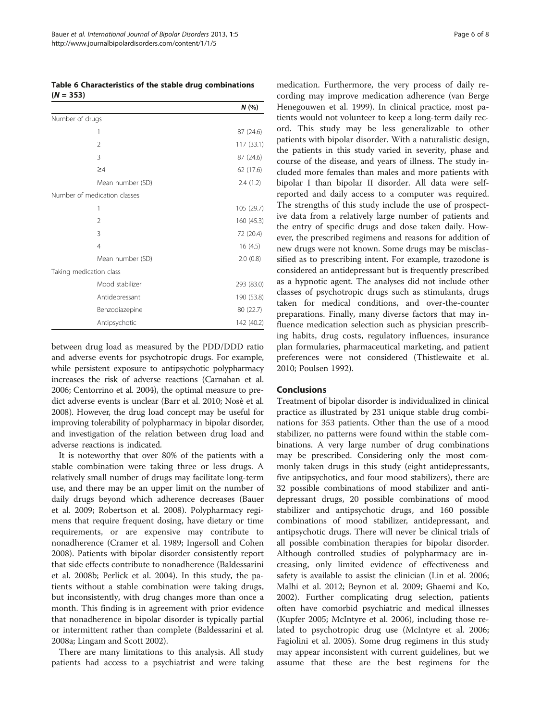<span id="page-5-0"></span>Table 6 Characteristics of the stable drug combinations  $(N = 353)$ 

|                         |                              | N(%        |
|-------------------------|------------------------------|------------|
| Number of drugs         |                              |            |
|                         | 1                            | 87 (24.6)  |
|                         | $\mathfrak{D}$               | 117(33.1)  |
|                         | 3                            | 87 (24.6)  |
|                         | $\geq 4$                     | 62 (17.6)  |
|                         | Mean number (SD)             | 2.4(1.2)   |
|                         | Number of medication classes |            |
|                         | 1                            | 105 (29.7) |
|                         | $\overline{2}$               | 160 (45.3) |
|                         | 3                            | 72 (20.4)  |
|                         | $\overline{4}$               | 16(4.5)    |
|                         | Mean number (SD)             | 2.0(0.8)   |
| Taking medication class |                              |            |
|                         | Mood stabilizer              | 293 (83.0) |
|                         | Antidepressant               | 190 (53.8) |
|                         | Benzodiazepine               | 80 (22.7)  |
|                         | Antipsychotic                | 142 (40.2) |

between drug load as measured by the PDD/DDD ratio and adverse events for psychotropic drugs. For example, while persistent exposure to antipsychotic polypharmacy increases the risk of adverse reactions (Carnahan et al. [2006;](#page-6-0) Centorrino et al. [2004](#page-6-0)), the optimal measure to predict adverse events is unclear (Barr et al. [2010;](#page-6-0) Nosè et al. [2008\)](#page-7-0). However, the drug load concept may be useful for improving tolerability of polypharmacy in bipolar disorder, and investigation of the relation between drug load and adverse reactions is indicated.

It is noteworthy that over 80% of the patients with a stable combination were taking three or less drugs. A relatively small number of drugs may facilitate long-term use, and there may be an upper limit on the number of daily drugs beyond which adherence decreases (Bauer et al. [2009;](#page-6-0) Robertson et al. [2008](#page-7-0)). Polypharmacy regimens that require frequent dosing, have dietary or time requirements, or are expensive may contribute to nonadherence (Cramer et al. [1989;](#page-6-0) Ingersoll and Cohen [2008](#page-6-0)). Patients with bipolar disorder consistently report that side effects contribute to nonadherence (Baldessarini et al. [2008b;](#page-6-0) Perlick et al. [2004](#page-7-0)). In this study, the patients without a stable combination were taking drugs, but inconsistently, with drug changes more than once a month. This finding is in agreement with prior evidence that nonadherence in bipolar disorder is typically partial or intermittent rather than complete (Baldessarini et al. [2008a;](#page-6-0) Lingam and Scott [2002\)](#page-6-0).

There are many limitations to this analysis. All study patients had access to a psychiatrist and were taking

medication. Furthermore, the very process of daily recording may improve medication adherence (van Berge Henegouwen et al. [1999](#page-7-0)). In clinical practice, most patients would not volunteer to keep a long-term daily record. This study may be less generalizable to other patients with bipolar disorder. With a naturalistic design, the patients in this study varied in severity, phase and course of the disease, and years of illness. The study included more females than males and more patients with bipolar I than bipolar II disorder. All data were selfreported and daily access to a computer was required. The strengths of this study include the use of prospective data from a relatively large number of patients and the entry of specific drugs and dose taken daily. However, the prescribed regimens and reasons for addition of new drugs were not known. Some drugs may be misclassified as to prescribing intent. For example, trazodone is considered an antidepressant but is frequently prescribed as a hypnotic agent. The analyses did not include other classes of psychotropic drugs such as stimulants, drugs taken for medical conditions, and over-the-counter preparations. Finally, many diverse factors that may influence medication selection such as physician prescribing habits, drug costs, regulatory influences, insurance plan formularies, pharmaceutical marketing, and patient preferences were not considered (Thistlewaite et al. [2010](#page-7-0); Poulsen [1992](#page-7-0)).

#### Conclusions

Treatment of bipolar disorder is individualized in clinical practice as illustrated by 231 unique stable drug combinations for 353 patients. Other than the use of a mood stabilizer, no patterns were found within the stable combinations. A very large number of drug combinations may be prescribed. Considering only the most commonly taken drugs in this study (eight antidepressants, five antipsychotics, and four mood stabilizers), there are 32 possible combinations of mood stabilizer and antidepressant drugs, 20 possible combinations of mood stabilizer and antipsychotic drugs, and 160 possible combinations of mood stabilizer, antidepressant, and antipsychotic drugs. There will never be clinical trials of all possible combination therapies for bipolar disorder. Although controlled studies of polypharmacy are increasing, only limited evidence of effectiveness and safety is available to assist the clinician (Lin et al. [2006](#page-6-0); Malhi et al. [2012](#page-7-0); Beynon et al. [2009;](#page-6-0) Ghaemi and Ko, [2002](#page-6-0)). Further complicating drug selection, patients often have comorbid psychiatric and medical illnesses (Kupfer [2005](#page-6-0); McIntyre et al. [2006](#page-7-0)), including those related to psychotropic drug use (McIntyre et al. [2006](#page-7-0); Fagiolini et al. [2005](#page-6-0)). Some drug regimens in this study may appear inconsistent with current guidelines, but we assume that these are the best regimens for the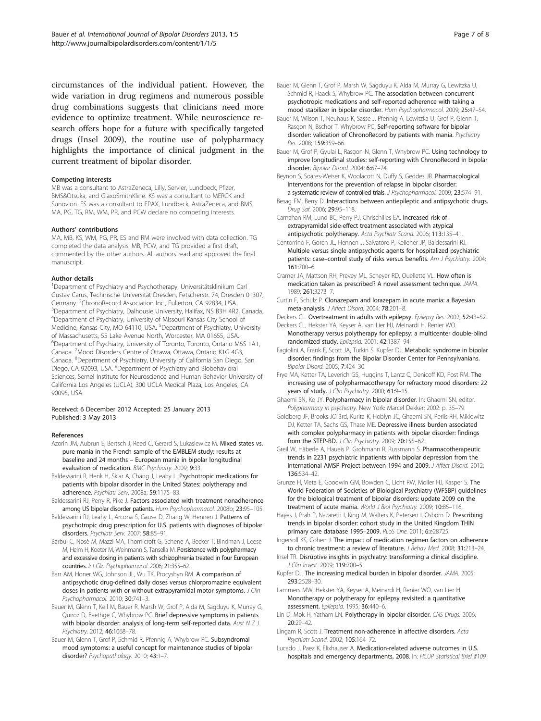<span id="page-6-0"></span>circumstances of the individual patient. However, the wide variation in drug regimens and numerous possible drug combinations suggests that clinicians need more evidence to optimize treatment. While neuroscience research offers hope for a future with specifically targeted drugs (Insel 2009), the routine use of polypharmacy highlights the importance of clinical judgment in the current treatment of bipolar disorder.

#### Competing interests

MB was a consultant to AstraZeneca, Lilly, Servier, Lundbeck, Pfizer, BMS&Otsuka, and GlaxoSmithKline. KS was a consultant to MERCK and Sunovion. ES was a consultant to EPAX, Lundbeck, AstraZeneca, and BMS. MA, PG, TG, RM, WM, PR, and PCW declare no competing interests.

#### Authors' contributions

MA, MB, KS, WM, PG, PR, ES and RM were involved with data collection. TG completed the data analysis. MB, PCW, and TG provided a first draft, commented by the other authors. All authors read and approved the final manuscript.

#### Author details

1 Department of Psychiatry and Psychotherapy, Universitätsklinikum Carl Gustav Carus, Technische Universität Dresden, Fetscherstr. 74, Dresden 01307, Germany. <sup>2</sup>ChronoRecord Association Inc., Fullerton, CA 92834, USA.<br><sup>3</sup>Department of Psychiatry, Dalbousie University, Halifax, NS 83H 483 <sup>3</sup>Department of Psychiatry, Dalhousie University, Halifax, NS B3H 4R2, Canada. 4 Department of Psychiatry, University of Missouri Kansas City School of Medicine, Kansas City, MO 64110, USA. <sup>5</sup>Department of Psychiatry, University of Massachusetts, 55 Lake Avenue North, Worcester, MA 01655, USA. 6 Department of Psychiatry, University of Toronto, Toronto, Ontario M5S 1A1, Canada. <sup>7</sup> Mood Disorders Centre of Ottawa, Ottawa, Ontario K1G 4G3, Canada. <sup>8</sup>Department of Psychiatry, University of California San Diego, San Diego, CA 92093, USA. <sup>9</sup>Department of Psychiatry and Biobehavioral Sciences, Semel Institute for Neuroscience and Human Behavior University of California Los Angeles (UCLA), 300 UCLA Medical Plaza, Los Angeles, CA 90095, USA.

#### Received: 6 December 2012 Accepted: 25 January 2013 Published: 3 May 2013

#### References

- Azorin JM, Aubrun E, Bertsch J, Reed C, Gerard S, Lukasiewicz M. Mixed states vs. pure mania in the French sample of the EMBLEM study: results at baseline and 24 months – European mania in bipolar longitudinal evaluation of medication. BMC Psychiatry. 2009; 9:33.
- Baldessarini R, Henk H, Sklar A, Chang J, Leahy L. Psychotropic medications for patients with bipolar disorder in the United States: polytherapy and adherence. Psychiatr Serv. 2008a; 59:1175–83.
- Baldessarini RJ, Perry R, Pike J. Factors associated with treatment nonadherence among US bipolar disorder patients. Hum Psychopharmacol. 2008b; 23:95-105.
- Baldessarini RJ, Leahy L, Arcona S, Gause D, Zhang W, Hennen J, Patterns of psychotropic drug prescription for U.S. patients with diagnoses of bipolar disorders. Psychiatr Serv. 2007; 58:85-91.
- Barbui C, Nosè M, Mazzi MA, Thornicroft G, Schene A, Becker T, Bindman J, Leese M, Helm H, Koeter M, Weinmann S, Tansella M. Persistence with polypharmacy and excessive dosing in patients with schizophrenia treated in four European countries. Int Clin Psychopharmacol. 2006; 21:355–62.
- Barr AM, Honer WG, Johnson JL, Wu TK, Procyshyn RM. A comparison of antipsychotic drug-defined daily doses versus chlorpromazine equivalent doses in patients with or without extrapyramidal motor symptoms. J Clin Psychopharmacol. 2010; 30:741–3.
- Bauer M, Glenn T, Keil M, Bauer R, Marsh W, Grof P, Alda M, Sagduyu K, Murray G, Quiroz D, Baethge C, Whybrow PC. Brief depressive symptoms in patients with bipolar disorder: analysis of long-term self-reported data. Aust N Z J Psychiatry. 2012; 46:1068–78.
- Bauer M, Glenn T, Grof P, Schmid R, Pfennig A, Whybrow PC. Subsyndromal mood symptoms: a useful concept for maintenance studies of bipolar disorder? Psychopathology. 2010; 43:1-7.
- Bauer M, Glenn T, Grof P, Marsh W, Sagduyu K, Alda M, Murray G, Lewitzka U, Schmid R, Haack S, Whybrow PC. The association between concurrent psychotropic medications and self-reported adherence with taking a mood stabilizer in bipolar disorder. Hum Psychopharmacol. 2009; 25:47–54.
- Bauer M, Wilson T, Neuhaus K, Sasse J, Pfennig A, Lewitzka U, Grof P, Glenn T, Rasgon N, Bschor T, Whybrow PC. Self-reporting software for bipolar disorder: validation of ChronoRecord by patients with mania. Psychiatry Res. 2008; 159:359–66.
- Bauer M, Grof P, Gyulai L, Rasgon N, Glenn T, Whybrow PC. Using technology to improve longitudinal studies: self-reporting with ChronoRecord in bipolar disorder. Bipolar Disord. 2004; 6:67-74.
- Beynon S, Soares-Weiser K, Woolacott N, Duffy S, Geddes JR. Pharmacological interventions for the prevention of relapse in bipolar disorder: a systematic review of controlled trials. J Psychopharmacol. 2009; 23:574–91.
- Besag FM, Berry D. Interactions between antiepileptic and antipsychotic drugs. Drug Saf. 2006; 29:95–118.
- Carnahan RM, Lund BC, Perry PJ, Chrischilles EA. Increased risk of extrapyramidal side-effect treatment associated with atypical antipsychotic polytherapy. Acta Psychiatr Scand. 2006; 113:135–41.
- Centorrino F, Goren JL, Hennen J, Salvatore P, Kelleher JP, Baldessarini RJ. Multiple versus single antipsychotic agents for hospitalized psychiatric patients: case-control study of risks versus benefits. Am J Psychiatry. 2004; 161:700–6.
- Cramer JA, Mattson RH, Prevey ML, Scheyer RD, Ouellette VL. How often is medication taken as prescribed? A novel assessment technique. JAMA. 1989; 261:3273–7.
- Curtin F, Schulz P. Clonazepam and lorazepam in acute mania: a Bayesian meta-analysis. J Affect Disord. 2004; 78:201–8.
- Deckers CL. Overtreatment in adults with epilepsy. Epilepsy Res. 2002; 52:43-52.
- Deckers CL, Hekster YA, Keyser A, van Lier HJ, Meinardi H, Renier WO. Monotherapy versus polytherapy for epilepsy: a multicenter double-blind randomized study. Epilepsia. 2001; 42:1387–94.
- Fagiolini A, Frank E, Scott JA, Turkin S, Kupfer DJ. Metabolic syndrome in bipolar disorder: findings from the Bipolar Disorder Center for Pennsylvanians. Bipolar Disord. 2005; 7:424–30.
- Frye MA, Ketter TA, Leverich GS, Huggins T, Lantz C, Denicoff KD, Post RM. The increasing use of polypharmacotherapy for refractory mood disorders: 22 years of study. J Clin Psychiatry. 2000; 61:9-15.
- Ghaemi SN, Ko JY. Polypharmacy in bipolar disorder. In: Ghaemi SN, editor. Polypharmacy in psychiatry. New York: Marcel Dekker; 2002: p. 35–79.
- Goldberg JF, Brooks JO 3rd, Kurita K, Hoblyn JC, Ghaemi SN, Perlis RH, Miklowitz DJ, Ketter TA, Sachs GS, Thase ME. Depressive illness burden associated with complex polypharmacy in patients with bipolar disorder: findings from the STEP-BD. J Clin Psychiatry. 2009; 70:155-62.
- Greil W, Häberle A, Haueis P, Grohmann R, Russmann S. Pharmacotherapeutic trends in 2231 psychiatric inpatients with bipolar depression from the International AMSP Project between 1994 and 2009. J Affect Disord. 2012; 136:534–42.
- Grunze H, Vieta E, Goodwin GM, Bowden C, Licht RW, Moller HJ, Kasper S. The World Federation of Societies of Biological Psychiatry (WFSBP) guidelines for the biological treatment of bipolar disorders: update 2009 on the treatment of acute mania. World J Biol Psychiatry. 2009; 10:85-116.
- Hayes J, Prah P, Nazareth I, King M, Walters K, Petersen I, Osborn D. Prescribing trends in bipolar disorder: cohort study in the United Kingdom THIN primary care database 1995–2009. PLoS One. 2011; 6:e28725.
- Ingersoll KS, Cohen J. The impact of medication regimen factors on adherence to chronic treatment: a review of literature. J Behav Med. 2008; 31:213–24.
- Insel TR. Disruptive insights in psychiatry: transforming a clinical discipline. J Clin Invest. 2009; 119:700–5.
- Kupfer DJ. The increasing medical burden in bipolar disorder. JAMA. 2005; 293:2528–30.
- Lammers MW, Hekster YA, Keyser A, Meinardi H, Renier WO, van Lier H. Monotherapy or polytherapy for epilepsy revisited: a quantitative assessment. Epilepsia. 1995: 36:440-6.
- Lin D, Mok H, Yatham LN. Polytherapy in bipolar disorder. CNS Drugs. 2006; 20:29–42.
- Lingam R, Scott J. Treatment non-adherence in affective disorders. Acta Psychiatr Scand. 2002; 105:164–72.
- Lucado J, Paez K, Elixhauser A. Medication-related adverse outcomes in U.S. hospitals and emergency departments, 2008. In: HCUP Statistical Brief #109.